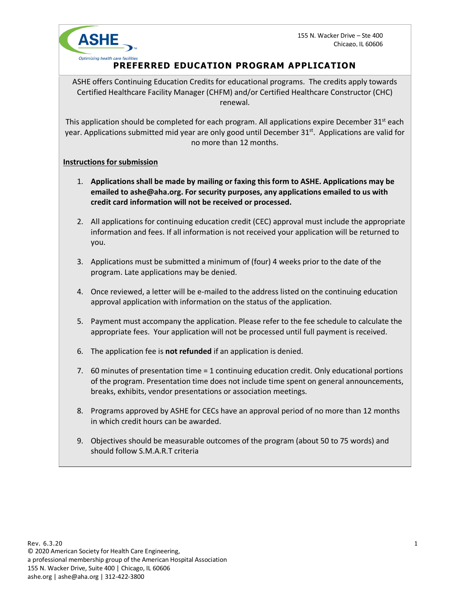155 N. Wacker Drive – Ste 400 Chicago, IL 60606



## **PREFERRED EDUCATION PROGRAM APPLICATION**

ASHE offers Continuing Education Credits for educational programs. The credits apply towards Certified Healthcare Facility Manager (CHFM) and/or Certified Healthcare Constructor (CHC) renewal.

This application should be completed for each program. All applications expire December 31<sup>st</sup> each year. Applications submitted mid year are only good until December 31<sup>st</sup>. Applications are valid for no more than 12 months.

## **Instructions for submission**

- 1. **Applications shall be made by mailing or faxing this form to ASHE. Applications may be emailed to ashe@aha.org. For security purposes, any applications emailed to us with credit card information will not be received or processed.**
- 2. All applications for continuing education credit (CEC) approval must include the appropriate information and fees. If all information is not received your application will be returned to you.
- 3. Applications must be submitted a minimum of (four) 4 weeks prior to the date of the program. Late applications may be denied.
- 4. Once reviewed, a letter will be e-mailed to the address listed on the continuing education approval application with information on the status of the application.
- 5. Payment must accompany the application. Please refer to the fee schedule to calculate the appropriate fees. Your application will not be processed until full payment is received.
- 6. The application fee is **not refunded** if an application is denied.
- 7. 60 minutes of presentation time = 1 continuing education credit. Only educational portions of the program. Presentation time does not include time spent on general announcements, breaks, exhibits, vendor presentations or association meetings.
- 8. Programs approved by ASHE for CECs have an approval period of no more than 12 months in which credit hours can be awarded.
- 9. Objectives should be measurable outcomes of the program (about 50 to 75 words) and should follow S.M.A.R.T criteria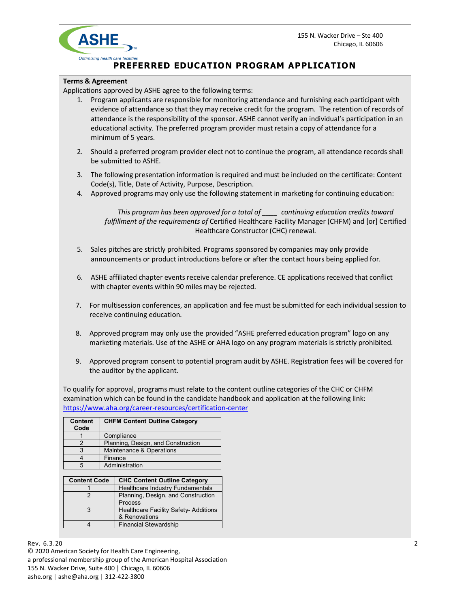155 N. Wacker Drive – Ste 400 Chicago, IL 60606



## **PREFERRED EDUCATION PROGRAM APPLICATION**

## **Terms & Agreement**

Applications approved by ASHE agree to the following terms:

- 1. Program applicants are responsible for monitoring attendance and furnishing each participant with evidence of attendance so that they may receive credit for the program. The retention of records of attendance is the responsibility of the sponsor. ASHE cannot verify an individual's participation in an educational activity. The preferred program provider must retain a copy of attendance for a minimum of 5 years.
- 2. Should a preferred program provider elect not to continue the program, all attendance records shall be submitted to ASHE.
- 3. The following presentation information is required and must be included on the certificate: Content Code(s), Title, Date of Activity, Purpose, Description.
- 4. Approved programs may only use the following statement in marketing for continuing education:

*This program has been approved for a total of \_\_\_\_ continuing education credits toward fulfillment of the requirements of* Certified Healthcare Facility Manager (CHFM) and [or] Certified Healthcare Constructor (CHC) renewal.

- 5. Sales pitches are strictly prohibited. Programs sponsored by companies may only provide announcements or product introductions before or after the contact hours being applied for.
- 6. ASHE affiliated chapter events receive calendar preference. CE applications received that conflict with chapter events within 90 miles may be rejected.
- 7. For multisession conferences, an application and fee must be submitted for each individual session to receive continuing education.
- 8. Approved program may only use the provided "ASHE preferred education program" logo on any marketing materials. Use of the ASHE or AHA logo on any program materials is strictly prohibited.
- 9. Approved program consent to potential program audit by ASHE. Registration fees will be covered for the auditor by the applicant.

To qualify for approval, programs must relate to the content outline categories of the CHC or CHFM examination which can be found in the candidate handbook and application at the following link: https://www.aha.org/career-resources/certification-center

| Content<br>Code     | <b>CHFM Content Outline Category</b> |                                           |  |
|---------------------|--------------------------------------|-------------------------------------------|--|
|                     | Compliance                           |                                           |  |
| 2                   | Planning, Design, and Construction   |                                           |  |
| 3                   | Maintenance & Operations             |                                           |  |
|                     | Finance                              |                                           |  |
| 5                   | Administration                       |                                           |  |
|                     |                                      |                                           |  |
| <b>Content Code</b> |                                      | <b>CHC Content Outline Category</b>       |  |
|                     |                                      | Healthcare Industry Fundamentals          |  |
|                     |                                      | $\sim$ $\sim$ $\sim$ $\sim$ $\sim$ $\sim$ |  |

| . |                                             |  |
|---|---------------------------------------------|--|
|   | Healthcare Industry Fundamentals            |  |
|   | Planning, Design, and Construction          |  |
|   | <b>Process</b>                              |  |
|   | <b>Healthcare Facility Safety-Additions</b> |  |
|   | & Renovations                               |  |
|   | <b>Financial Stewardship</b>                |  |
|   |                                             |  |

Rev. 6.3.20  $\sim$  2.20  $\sim$  2.20  $\sim$  2.20  $\sim$  2.20  $\sim$  2.20  $\sim$  2.20  $\sim$  2.20  $\sim$  2.20  $\sim$  2.20  $\sim$  2.20  $\sim$  2.20  $\sim$  2.20  $\sim$  2.20  $\sim$  2.20  $\sim$  2.20  $\sim$  2.20  $\sim$  2.20  $\sim$  2.20  $\sim$  2.20  $\sim$  2.20  $\sim$  2.20 © 2020 American Society for Health Care Engineering, a professional membership group of the American Hospital Association 155 N. Wacker Drive, Suite 400 | Chicago, IL 60606 ashe.org | ashe@aha.org | 312-422-3800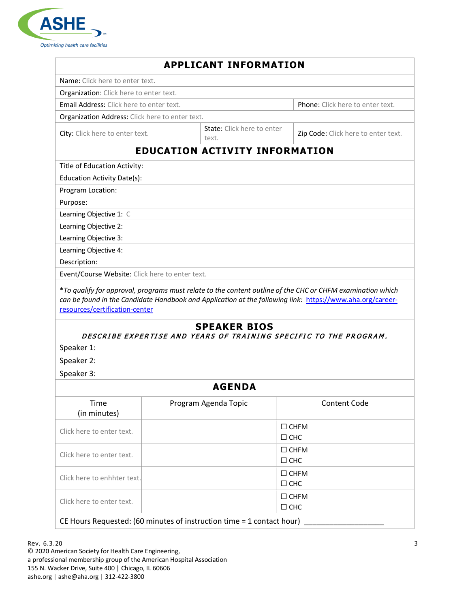

|                                                                                                                                                                                                                                                   | <b>APPLICANT INFORMATION</b>                                                             |                                                                                                                                                                                                                         |  |  |  |
|---------------------------------------------------------------------------------------------------------------------------------------------------------------------------------------------------------------------------------------------------|------------------------------------------------------------------------------------------|-------------------------------------------------------------------------------------------------------------------------------------------------------------------------------------------------------------------------|--|--|--|
| Name: Click here to enter text.                                                                                                                                                                                                                   |                                                                                          |                                                                                                                                                                                                                         |  |  |  |
| Organization: Click here to enter text.                                                                                                                                                                                                           |                                                                                          |                                                                                                                                                                                                                         |  |  |  |
| Email Address: Click here to enter text.                                                                                                                                                                                                          | Phone: Click here to enter text.                                                         |                                                                                                                                                                                                                         |  |  |  |
| Organization Address: Click here to enter text.                                                                                                                                                                                                   |                                                                                          |                                                                                                                                                                                                                         |  |  |  |
| City: Click here to enter text.                                                                                                                                                                                                                   | State: Click here to enter<br>text.                                                      | Zip Code: Click here to enter text.                                                                                                                                                                                     |  |  |  |
|                                                                                                                                                                                                                                                   | <b>EDUCATION ACTIVITY INFORMATION</b>                                                    |                                                                                                                                                                                                                         |  |  |  |
| Title of Education Activity:                                                                                                                                                                                                                      |                                                                                          |                                                                                                                                                                                                                         |  |  |  |
| Education Activity Date(s):                                                                                                                                                                                                                       |                                                                                          |                                                                                                                                                                                                                         |  |  |  |
| Program Location:                                                                                                                                                                                                                                 |                                                                                          |                                                                                                                                                                                                                         |  |  |  |
| Purpose:                                                                                                                                                                                                                                          |                                                                                          |                                                                                                                                                                                                                         |  |  |  |
| Learning Objective 1: C                                                                                                                                                                                                                           |                                                                                          |                                                                                                                                                                                                                         |  |  |  |
| Learning Objective 2:                                                                                                                                                                                                                             |                                                                                          |                                                                                                                                                                                                                         |  |  |  |
| Learning Objective 3:                                                                                                                                                                                                                             |                                                                                          |                                                                                                                                                                                                                         |  |  |  |
| Learning Objective 4:                                                                                                                                                                                                                             |                                                                                          |                                                                                                                                                                                                                         |  |  |  |
| Description:                                                                                                                                                                                                                                      |                                                                                          |                                                                                                                                                                                                                         |  |  |  |
|                                                                                                                                                                                                                                                   |                                                                                          |                                                                                                                                                                                                                         |  |  |  |
|                                                                                                                                                                                                                                                   |                                                                                          | *To qualify for approval, programs must relate to the content outline of the CHC or CHFM examination which<br>can be found in the Candidate Handbook and Application at the following link: https://www.aha.org/career- |  |  |  |
|                                                                                                                                                                                                                                                   | <b>SPEAKER BIOS</b><br>DESCRIBE EXPERTISE AND YEARS OF TRAINING SPECIFIC TO THE PROGRAM. |                                                                                                                                                                                                                         |  |  |  |
|                                                                                                                                                                                                                                                   |                                                                                          |                                                                                                                                                                                                                         |  |  |  |
|                                                                                                                                                                                                                                                   |                                                                                          |                                                                                                                                                                                                                         |  |  |  |
|                                                                                                                                                                                                                                                   |                                                                                          |                                                                                                                                                                                                                         |  |  |  |
|                                                                                                                                                                                                                                                   | <b>AGENDA</b>                                                                            |                                                                                                                                                                                                                         |  |  |  |
| Time<br>(in minutes)                                                                                                                                                                                                                              | Program Agenda Topic                                                                     | <b>Content Code</b>                                                                                                                                                                                                     |  |  |  |
|                                                                                                                                                                                                                                                   |                                                                                          | $\Box$ CHFM<br>$\Box$ CHC                                                                                                                                                                                               |  |  |  |
|                                                                                                                                                                                                                                                   |                                                                                          | $\Box$ CHFM<br>$\Box$ CHC                                                                                                                                                                                               |  |  |  |
|                                                                                                                                                                                                                                                   |                                                                                          | $\Box$ CHFM<br>$\Box$ CHC                                                                                                                                                                                               |  |  |  |
| Event/Course Website: Click here to enter text.<br>resources/certification-center<br>Speaker 1:<br>Speaker 2:<br>Speaker 3:<br>Click here to enter text.<br>Click here to enter text.<br>Click here to enhhter text.<br>Click here to enter text. |                                                                                          | $\Box$ CHFM<br>$\square$ CHC                                                                                                                                                                                            |  |  |  |